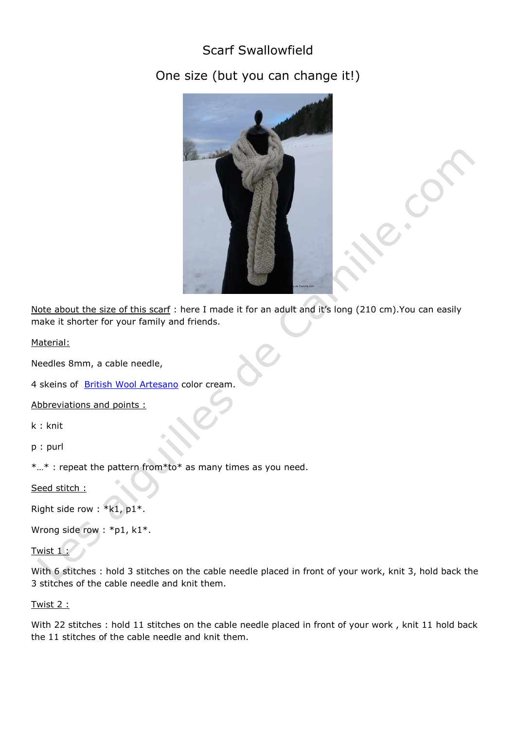## Scarf Swallowfield

## One size (but you can change it!)



Note about the size of this scarf : here I made it for an adult and it's long (210 cm).You can easily make it shorter for your family and friends.

Material:

Needles 8mm, a cable needle,

4 skeins of [British Wool Artesano](http://lesaiguillesdecamille.com/product.php?id_product=586) color cream.

Abbreviations and points :

k : knit

p : purl

\*…\* : repeat the pattern from\*to\* as many times as you need.

Seed stitch :

Right side row : \*k1, p1\*.

Wrong side row : \*p1, k1\*.

```
Twist 1
```
With 6 stitches : hold 3 stitches on the cable needle placed in front of your work, knit 3, hold back the 3 stitches of the cable needle and knit them.

Twist 2 :

With 22 stitches : hold 11 stitches on the cable needle placed in front of your work, knit 11 hold back the 11 stitches of the cable needle and knit them.